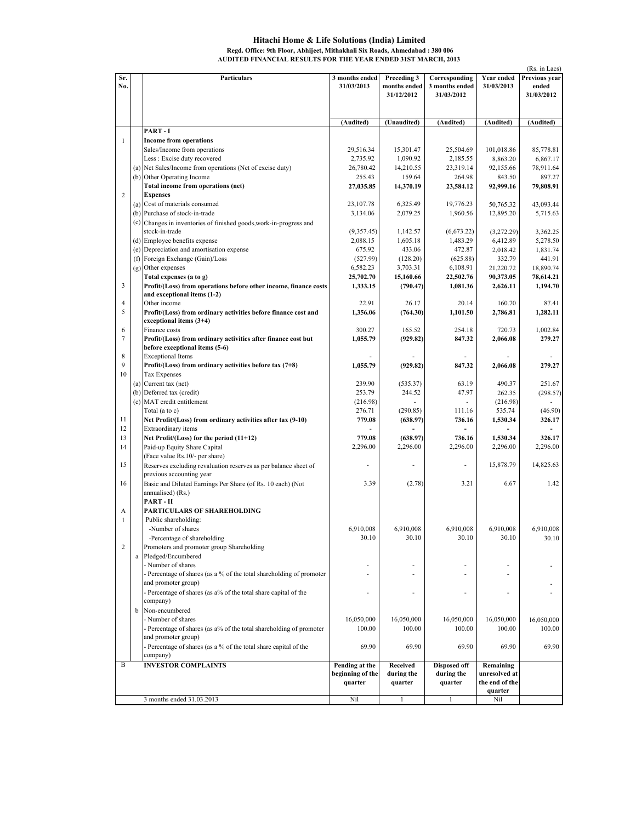## Hitachi Home & Life Solutions (India) Limited Regd. Office: 9th Floor, Abhijeet, Mithakhali Six Roads, Ahmedabad : 380 006 AUDITED FINANCIAL RESULTS FOR THE YEAR ENDED 31ST MARCH, 2013

|                |                                                                      |                  |              |                     |                | (Rs. in Lacs) |
|----------------|----------------------------------------------------------------------|------------------|--------------|---------------------|----------------|---------------|
| Sr.            | Particulars                                                          | 3 months ended   | Preceding 3  | Corresponding       | Year ended     | Previous year |
| No.            |                                                                      | 31/03/2013       | months ended | 3 months ended      | 31/03/2013     | ended         |
|                |                                                                      |                  | 31/12/2012   | 31/03/2012          |                | 31/03/2012    |
|                |                                                                      |                  |              |                     |                |               |
|                |                                                                      |                  |              |                     |                |               |
|                |                                                                      | (Audited)        | (Unaudited)  | (Audited)           | (Audited)      | (Audited)     |
|                | PART-I                                                               |                  |              |                     |                |               |
| $\mathbf{1}$   | <b>Income from operations</b>                                        |                  |              |                     |                |               |
|                | Sales/Income from operations                                         | 29,516.34        | 15,301.47    | 25,504.69           | 101,018.86     | 85,778.81     |
|                | Less : Excise duty recovered                                         | 2,735.92         | 1,090.92     | 2,185.55            | 8,863.20       | 6,867.17      |
|                | (a) Net Sales/Income from operations (Net of excise duty)            | 26,780.42        | 14,210.55    | 23,319.14           | 92,155.66      | 78,911.64     |
|                | (b) Other Operating Income                                           | 255.43           | 159.64       | 264.98              | 843.50         | 897.27        |
|                | Total income from operations (net)                                   | 27,035.85        | 14,370.19    | 23,584.12           | 92,999.16      | 79,808.91     |
| $\overline{2}$ | <b>Expenses</b>                                                      |                  |              |                     |                |               |
|                | (a) Cost of materials consumed                                       | 23,107.78        | 6,325.49     | 19,776.23           | 50,765.32      | 43,093.44     |
|                | (b) Purchase of stock-in-trade                                       | 3,134.06         | 2,079.25     | 1,960.56            | 12,895.20      | 5,715.63      |
|                | (c) Changes in inventories of finished goods, work-in-progress and   |                  |              |                     |                |               |
|                | stock-in-trade                                                       | (9,357.45)       | 1,142.57     | (6,673.22)          | (3,272.29)     | 3,362.25      |
|                | (d) Employee benefits expense                                        | 2,088.15         | 1,605.18     | 1,483.29            | 6,412.89       | 5,278.50      |
|                | (e) Depreciation and amortisation expense                            | 675.92           | 433.06       | 472.87              | 2,018.42       | 1,831.74      |
|                | (f) Foreign Exchange (Gain)/Loss                                     | (527.99)         | (128.20)     | (625.88)            | 332.79         | 441.91        |
|                | (g) Other expenses                                                   | 6,582.23         | 3,703.31     | 6,108.91            | 21,220.72      | 18,890.74     |
|                | Total expenses (a to g)                                              | 25,702.70        | 15,160.66    | 22,502.76           | 90,373.05      | 78,614.21     |
| 3              | Profit/(Loss) from operations before other income, finance costs     | 1,333.15         | (790.47)     | 1,081.36            | 2,626.11       | 1,194.70      |
|                | and exceptional items (1-2)                                          |                  |              |                     |                |               |
| $\overline{4}$ | Other income                                                         | 22.91            | 26.17        | 20.14               | 160.70         | 87.41         |
| 5              | Profit/(Loss) from ordinary activities before finance cost and       | 1,356.06         | (764.30)     | 1,101.50            | 2,786.81       | 1,282.11      |
|                | exceptional items $(3+4)$                                            |                  |              |                     |                |               |
| 6              | Finance costs                                                        | 300.27           | 165.52       | 254.18              | 720.73         | 1,002.84      |
| $\overline{7}$ | Profit/(Loss) from ordinary activities after finance cost but        | 1,055.79         | (929.82)     | 847.32              | 2,066.08       | 279.27        |
|                | before exceptional items (5-6)                                       |                  |              |                     |                |               |
| 8              | <b>Exceptional Items</b>                                             |                  |              |                     |                |               |
| 9              | Profit/(Loss) from ordinary activities before tax $(7+8)$            | 1,055.79         | (929.82)     | 847.32              | 2,066.08       | 279.27        |
| 10             | <b>Tax Expenses</b>                                                  |                  |              |                     |                |               |
|                | (a) Current tax (net)                                                | 239.90           | (535.37)     | 63.19               | 490.37         | 251.67        |
|                | (b) Deferred tax (credit)                                            | 253.79           | 244.52       | 47.97               | 262.35         | (298.57)      |
|                | (c) MAT credit entitlement                                           | (216.98)         |              |                     | (216.98)       |               |
|                | Total (a to c)                                                       | 276.71           | (290.85)     | 111.16              | 535.74         | (46.90)       |
| 11             | Net Profit/(Loss) from ordinary activities after tax (9-10)          | 779.08           | (638.97)     | 736.16              | 1,530.34       | 326.17        |
| 12             | Extraordinary items                                                  | ÷.               |              |                     |                |               |
| 13             |                                                                      | 779.08           | (638.97)     | 736.16              | 1,530.34       | 326.17        |
| 14             | Net Profit/(Loss) for the period (11+12)                             | 2,296.00         | 2,296.00     | 2,296.00            |                | 2,296.00      |
|                | Paid-up Equity Share Capital                                         |                  |              |                     | 2,296.00       |               |
|                | (Face value Rs.10/- per share)                                       |                  |              |                     |                |               |
| 15             | Reserves excluding revaluation reserves as per balance sheet of      |                  |              |                     | 15,878.79      | 14,825.63     |
|                | previous accounting year                                             |                  |              |                     |                |               |
| 16             | Basic and Diluted Earnings Per Share (of Rs. 10 each) (Not           | 3.39             | (2.78)       | 3.21                | 6.67           | 1.42          |
|                | annualised) (Rs.)                                                    |                  |              |                     |                |               |
|                | PART-II                                                              |                  |              |                     |                |               |
| А              | PARTICULARS OF SHAREHOLDING                                          |                  |              |                     |                |               |
| $\mathbf{1}$   | Public shareholding:                                                 |                  |              |                     |                |               |
|                | -Number of shares                                                    | 6,910,008        | 6,910,008    | 6.910.008           | 6,910,008      | 6,910,008     |
|                | -Percentage of shareholding                                          | 30.10            | 30.10        | 30.10               | 30.10          | 30.10         |
| $\overline{2}$ | Promoters and promoter group Shareholding                            |                  |              |                     |                |               |
|                | a Pledged/Encumbered                                                 |                  |              |                     |                |               |
|                | - Number of shares                                                   |                  |              |                     |                |               |
|                | - Percentage of shares (as a % of the total shareholding of promoter |                  |              | ÷.                  | ä,             |               |
|                | and promoter group)                                                  |                  |              |                     |                |               |
|                | - Percentage of shares (as a% of the total share capital of the      | ٠                | ٠            | ٠                   | ä,             |               |
|                | company)                                                             |                  |              |                     |                |               |
|                | b Non-encumbered                                                     |                  |              |                     |                |               |
|                | - Number of shares                                                   | 16,050,000       | 16,050,000   | 16,050,000          | 16,050,000     | 16,050,000    |
|                | - Percentage of shares (as a% of the total shareholding of promoter  | 100.00           | 100.00       | 100.00              | 100.00         | 100.00        |
|                | and promoter group)                                                  |                  |              |                     |                |               |
|                | - Percentage of shares (as a % of the total share capital of the     | 69.90            | 69.90        | 69.90               | 69.90          | 69.90         |
|                | company)                                                             |                  |              |                     |                |               |
| B              | <b>INVESTOR COMPLAINTS</b>                                           | Pending at the   | Received     | <b>Disposed off</b> | Remaining      |               |
|                |                                                                      | beginning of the | during the   | during the          | unresolved at  |               |
|                |                                                                      | quarter          | quarter      | quarter             | the end of the |               |
|                |                                                                      |                  |              |                     | quarter        |               |
|                | 3 months ended 31.03.2013                                            | Nil              | 1            | 1                   | Nil            |               |
|                |                                                                      |                  |              |                     |                |               |